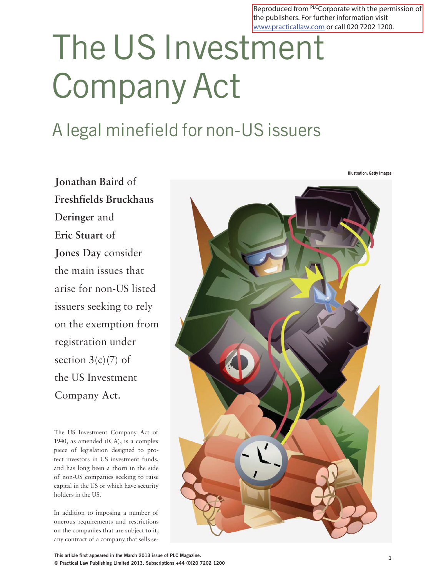Reproduced from PLCCorporate with the permission of the publishers. For further information visit www.practicallaw.com or call 020 7202 1200.

# The US Investment Company Act

# A legal minefield for non-US issuers

**Jonathan Baird** of **Freshfields Bruckhaus Deringer** and **Eric Stuart** of **Jones Day** consider the main issues that arise for non-US listed issuers seeking to rely on the exemption from registration under section  $3(c)(7)$  of the US Investment Company Act.

The US Investment Company Act of 1940, as amended (ICA), is a complex piece of legislation designed to protect investors in US investment funds, and has long been a thorn in the side of non-US companies seeking to raise capital in the US or which have security holders in the US.

In addition to imposing a number of onerous requirements and restrictions on the companies that are subject to it, any contract of a company that sells se-



**Illustration: Getty Images**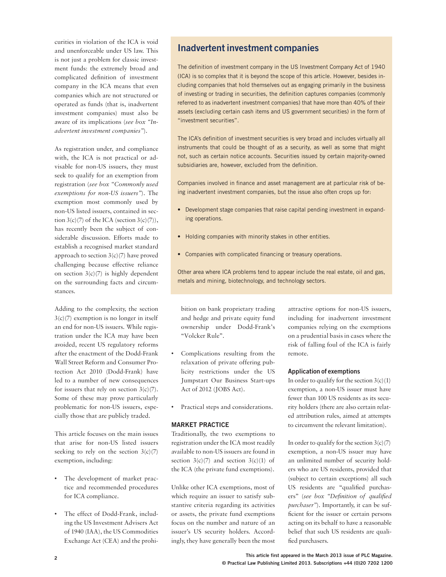curities in violation of the ICA is void and unenforceable under US law. This is not just a problem for classic investment funds: the extremely broad and complicated definition of investment company in the ICA means that even companies which are not structured or operated as funds (that is, inadvertent investment companies) must also be aware of its implications (*see box "Inadvertent investment companies"*).

As registration under, and compliance with, the ICA is not practical or advisable for non-US issuers, they must seek to qualify for an exemption from registration (*see box "Commonly used exemptions for non-US issuers"*). The exemption most commonly used by non-US listed issuers, contained in section  $3(c)(7)$  of the ICA (section  $3(c)(7)$ ), has recently been the subject of considerable discussion. Efforts made to establish a recognised market standard approach to section  $3(c)(7)$  have proved challenging because effective reliance on section  $3(c)(7)$  is highly dependent on the surrounding facts and circumstances.

Adding to the complexity, the section 3(c)(7) exemption is no longer in itself an end for non-US issuers. While registration under the ICA may have been avoided, recent US regulatory reforms after the enactment of the Dodd-Frank Wall Street Reform and Consumer Protection Act 2010 (Dodd-Frank) have led to a number of new consequences for issuers that rely on section  $3(c)(7)$ . Some of these may prove particularly problematic for non-US issuers, especially those that are publicly traded.

This article focuses on the main issues that arise for non-US listed issuers seeking to rely on the section  $3(c)(7)$ exemption, including:

- The development of market practice and recommended procedures for ICA compliance.
- The effect of Dodd-Frank, including the US Investment Advisers Act of 1940 (IAA), the US Commodities Exchange Act (CEA) and the prohi-

## **Inadvertent investment companies**

The definition of investment company in the US Investment Company Act of 1940 (ICA) is so complex that it is beyond the scope of this article. However, besides including companies that hold themselves out as engaging primarily in the business of investing or trading in securities, the definition captures companies (commonly referred to as inadvertent investment companies) that have more than 40% of their assets (excluding certain cash items and US government securities) in the form of "investment securities".

The ICA's definition of investment securities is very broad and includes virtually all instruments that could be thought of as a security, as well as some that might not, such as certain notice accounts. Securities issued by certain majority-owned subsidiaries are, however, excluded from the definition.

Companies involved in finance and asset management are at particular risk of being inadvertent investment companies, but the issue also often crops up for:

- Development stage companies that raise capital pending investment in expanding operations.
- Holding companies with minority stakes in other entities.
- Companies with complicated financing or treasury operations.

Other area where ICA problems tend to appear include the real estate, oil and gas, metals and mining, biotechnology, and technology sectors.

bition on bank proprietary trading and hedge and private equity fund ownership under Dodd-Frank's "Volcker Rule".

- Complications resulting from the relaxation of private offering publicity restrictions under the US Jumpstart Our Business Start-ups Act of 2012 (JOBS Act).
- Practical steps and considerations.

#### **MARKET PRACTICE**

Traditionally, the two exemptions to registration under the ICA most readily available to non-US issuers are found in section  $3(c)(7)$  and section  $3(c)(1)$  of the ICA (the private fund exemptions).

Unlike other ICA exemptions, most of which require an issuer to satisfy substantive criteria regarding its activities or assets, the private fund exemptions focus on the number and nature of an issuer's US security holders. Accordingly, they have generally been the most

attractive options for non-US issuers, including for inadvertent investment companies relying on the exemptions on a prudential basis in cases where the risk of falling foul of the ICA is fairly remote.

#### **Application of exemptions**

In order to qualify for the section  $3(c)(1)$ exemption, a non-US issuer must have fewer than 100 US residents as its security holders (there are also certain related attribution rules, aimed at attempts to circumvent the relevant limitation).

In order to qualify for the section  $3(c)(7)$ exemption, a non-US issuer may have an unlimited number of security holders who are US residents, provided that (subject to certain exceptions) all such US residents are "qualified purchasers" (see box "Definition of qualified *purchaser"*). Importantly, it can be sufficient for the issuer or certain persons acting on its behalf to have a reasonable belief that such US residents are qualified purchasers.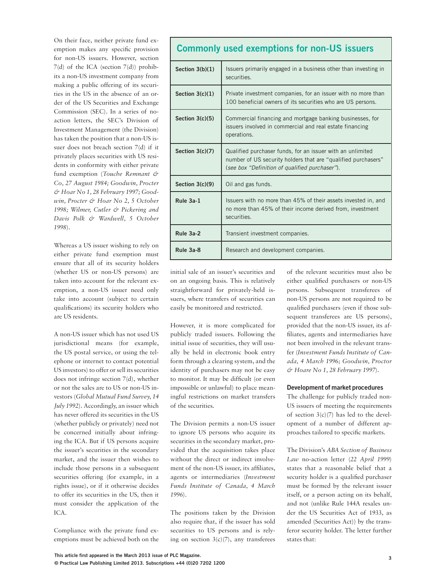On their face, neither private fund exemption makes any specific provision for non-US issuers. However, section 7(d) of the ICA (section 7(d)) prohibits a non-US investment company from making a public offering of its securities in the US in the absence of an order of the US Securities and Exchange Commission (SEC). In a series of noaction letters, the SEC's Division of Investment Management (the Division) has taken the position that a non-US issuer does not breach section 7(d) if it privately places securities with US residents in conformity with either private fund exemption (*Touche Remnant & Co, 27 August 1984; Goodwin, Procter & Hoar No 1, 28 February 1997; Goodwin, Procter & Hoar No 2, 5 October 1998; Wilmer, Cutler & Pickering and Davis Polk & Wardwell, 5 October 1998*).

Whereas a US issuer wishing to rely on either private fund exemption must ensure that all of its security holders (whether US or non-US persons) are taken into account for the relevant exemption, a non-US issuer need only take into account (subject to certain qualifications) its security holders who are US residents.

A non-US issuer which has not used US jurisdictional means (for example, the US postal service, or using the telephone or internet to contact potential US investors) to offer or sell its securities does not infringe section 7(d), whether or not the sales are to US or non-US investors (*Global Mutual Fund Survey, 14 July 1992*). Accordingly, an issuer which has never offered its securities in the US (whether publicly or privately) need not be concerned initially about infringing the ICA. But if US persons acquire the issuer's securities in the secondary market, and the issuer then wishes to include those persons in a subsequent securities offering (for example, in a rights issue), or if it otherwise decides to offer its securities in the US, then it must consider the application of the ICA.

Compliance with the private fund exemptions must be achieved both on the

### **Commonly used exemptions for non-US issuers**

| Section $3(b)(1)$ | Issuers primarily engaged in a business other than investing in<br>securities.                                                                                                |
|-------------------|-------------------------------------------------------------------------------------------------------------------------------------------------------------------------------|
| Section $3(c)(1)$ | Private investment companies, for an issuer with no more than<br>100 beneficial owners of its securities who are US persons.                                                  |
| Section $3(c)(5)$ | Commercial financing and mortgage banking businesses, for<br>issuers involved in commercial and real estate financing<br>operations.                                          |
| Section $3(c)(7)$ | Qualified purchaser funds, for an issuer with an unlimited<br>number of US security holders that are "qualified purchasers"<br>(see box "Definition of qualified purchaser"). |
| Section $3(c)(9)$ | Oil and gas funds.                                                                                                                                                            |
| Rule 3a-1         | Issuers with no more than 45% of their assets invested in, and<br>no more than 45% of their income derived from, investment<br>securities.                                    |
| Rule 3a-2         | Transient investment companies.                                                                                                                                               |
| Rule 3a-8         | Research and development companies.                                                                                                                                           |

initial sale of an issuer's securities and on an ongoing basis. This is relatively straightforward for privately-held issuers, where transfers of securities can easily be monitored and restricted.

However, it is more complicated for publicly traded issuers. Following the initial issue of securities, they will usually be held in electronic book entry form through a clearing system, and the identity of purchasers may not be easy to monitor. It may be difficult (or even impossible or unlawful) to place meaningful restrictions on market transfers of the securities.

The Division permits a non-US issuer to ignore US persons who acquire its securities in the secondary market, provided that the acquisition takes place without the direct or indirect involvement of the non-US issuer, its affiliates, agents or intermediaries (*Investment Funds Institute of Canada, 4 March 1996*).

The positions taken by the Division also require that, if the issuer has sold securities to US persons and is relying on section  $3(c)(7)$ , any transferees

of the relevant securities must also be either qualified purchasers or non-US persons. Subsequent transferees of non-US persons are not required to be qualified purchasers (even if those subsequent transferees are US persons), provided that the non-US issuer, its affiliates, agents and intermediaries have not been involved in the relevant transfer (*Investment Funds Institute of Canada, 4 March 1996; Goodwin, Proctor & Hoare No 1, 28 February 1997*).

#### **Development of market procedures**

The challenge for publicly traded non-US issuers of meeting the requirements of section  $3(c)(7)$  has led to the development of a number of different approaches tailored to specific markets.

The Division's *ABA Section of Business Law* no-action letter (*22 April 1999*) states that a reasonable belief that a security holder is a qualified purchaser must be formed by the relevant issuer itself, or a person acting on its behalf, and not (unlike Rule 144A resales under the US Securities Act of 1933, as amended (Securities Act)) by the transferor security holder. The letter further states that: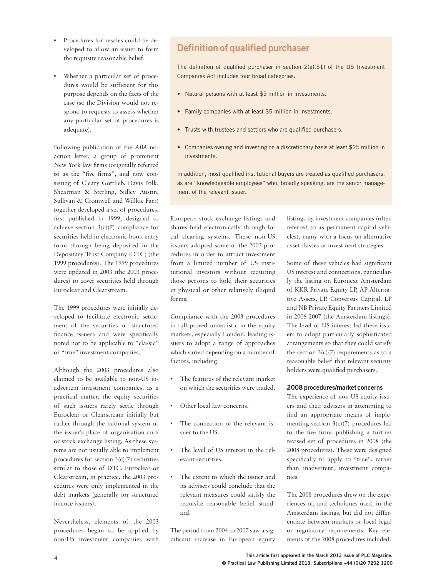- Procedures for resales could be developed to allow an issuer to form the requisite reasonable belief.
- Whether a particular set of procedures would be sufficient for this purpose depends on the facts of the case (so the Division would not respond to requests to assess whether any particular set of procedures is adequate).

Following publication of the *ABA* noaction letter, a group of prominent New York law firms (originally referred to as the "five firms", and now consisting of Cleary Gottlieb, Davis Polk, Shearman & Sterling, Sidley Austin, Sullivan & Cromwell and Willkie Farr) together developed a set of procedures, first published in 1999, designed to achieve section  $3(c)(7)$  compliance for securities held in electronic book entry form through being deposited in the Depositary Trust Company (DTC) (the 1999 procedures). The 1999 procedures were updated in 2003 (the 2003 procedures) to cover securities held through Euroclear and Clearstream.

The 1999 procedures were initially developed to facilitate electronic settlement of the securities of structured finance issuers and were specifically noted not to be applicable to "classic" or "true" investment companies.

Although the 2003 procedures also claimed to be available to non-US inadvertent investment companies, as a practical matter, the equity securities of such issuers rarely settle through Euroclear or Clearstream initially but rather through the national system of the issuer's place of organisation and/ or stock exchange listing. As these systems are not usually able to implement procedures for section  $3(c)(7)$  securities similar to those of DTC, Euroclear or Clearstream, in practice, the 2003 procedures were only implemented in the debt markets (generally for structured finance issuers).

Nevertheless, elements of the 2003 procedures began to be applied by non-US investment companies with

# **Definition of qualified purchaser**

The definition of qualified purchaser in section  $2(a)(51)$  of the US Investment Companies Act includes four broad categories:

- Natural persons with at least \$5 million in investments.
- Family companies with at least \$5 million in investments.
- Trusts with trustees and settlors who are qualified purchasers.
- Companies owning and investing on a discretionary basis at least \$25 million in investments.

In addition, most qualified institutional buyers are treated as qualified purchasers, as are "knowledgeable employees" who, broadly speaking, are the senior management of the relevant issuer.

European stock exchange listings and shares held electronically through local clearing systems. These non-US issuers adopted some of the 2003 procedures in order to attract investment from a limited number of US institutional investors without requiring those persons to hold their securities in physical or other relatively illiquid forms.

Compliance with the 2003 procedures in full proved unrealistic in the equity markets, especially London, leading issuers to adopt a range of approaches which varied depending on a number of factors, including:

- The features of the relevant market on which the securities were traded.
- Other local law concerns.
- The connection of the relevant issuer to the US.
- The level of US interest in the relevant securities.
- The extent to which the issuer and its advisers could conclude that the relevant measures could satisfy the requisite reasonable belief standard.

The period from 2004 to 2007 saw a significant increase in European equity listings by investment companies (often referred to as permanent capital vehicles), many with a focus on alternative asset classes or investment strategies.

Some of these vehicles had significant US interest and connections, particularly the listing on Euronext Amsterdam of KKR Private Equity LP, AP Alternative Assets, LP, Conversus Capital, LP and NB Private Equity Partners Limited in 2006-2007 (the Amsterdam listings). The level of US interest led these issuers to adopt particularly sophisticated arrangements so that they could satisfy the section  $3(c)(7)$  requirements as to a reasonable belief that relevant security holders were qualified purchasers.

#### **2008 procedures/market concerns**

The experience of non-US equity issuers and their advisers in attempting to find an appropriate means of implementing section 3(c)(7) procedures led to the five firms publishing a further revised set of procedures in 2008 (the 2008 procedures). These were designed specifically to apply to "true", rather than inadvertent, investment companies.

The 2008 procedures drew on the experiences of, and techniques used, in the Amsterdam listings, but did not differentiate between markets or local legal or regulatory requirements. Key elements of the 2008 procedures included: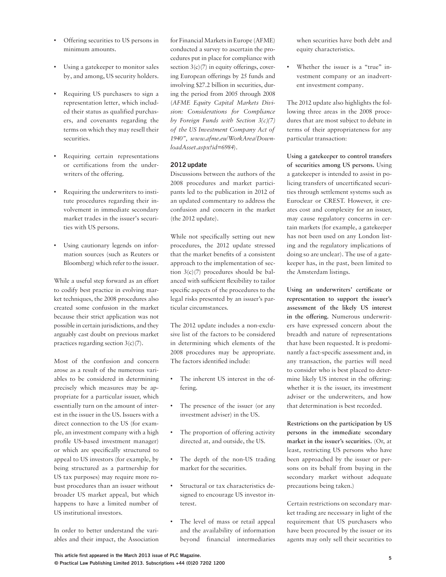- Offering securities to US persons in minimum amounts.
- Using a gatekeeper to monitor sales by, and among, US security holders.
- Requiring US purchasers to sign a representation letter, which included their status as qualified purchasers, and covenants regarding the terms on which they may resell their securities.
- Requiring certain representations or certifications from the underwriters of the offering.
- Requiring the underwriters to institute procedures regarding their involvement in immediate secondary market trades in the issuer's securities with US persons.
- Using cautionary legends on information sources (such as Reuters or Bloomberg) which refer to the issuer.

While a useful step forward as an effort to codify best practice in evolving market techniques, the 2008 procedures also created some confusion in the market because their strict application was not possible in certain jurisdictions, and they arguably cast doubt on previous market practices regarding section 3(c)(7).

Most of the confusion and concern arose as a result of the numerous variables to be considered in determining precisely which measures may be appropriate for a particular issuer, which essentially turn on the amount of interest in the issuer in the US. Issuers with a direct connection to the US (for example, an investment company with a high profile US-based investment manager) or which are specifically structured to appeal to US investors (for example, by being structured as a partnership for US tax purposes) may require more robust procedures than an issuer without broader US market appeal, but which happens to have a limited number of US institutional investors.

In order to better understand the variables and their impact, the Association

for Financial Markets in Europe (AFME) conducted a survey to ascertain the procedures put in place for compliance with section  $3(c)(7)$  in equity offerings, covering European offerings by 25 funds and involving \$27.2 billion in securities, during the period from 2005 through 2008 (*AFME Equity Capital Markets Division: Considerations for Compliance by Foreign Funds with Section 3(c)(7) of the US Investment Company Act of 1940", www.afme.eu/WorkArea/DownloadAsset.aspx?id=6984*).

#### **2012 update**

Discussions between the authors of the 2008 procedures and market participants led to the publication in 2012 of an updated commentary to address the confusion and concern in the market (the 2012 update).

While not specifically setting out new procedures, the 2012 update stressed that the market benefits of a consistent approach to the implementation of section 3(c)(7) procedures should be balanced with sufficient flexibility to tailor specific aspects of the procedures to the legal risks presented by an issuer's particular circumstances.

The 2012 update includes a non-exclusive list of the factors to be considered in determining which elements of the 2008 procedures may be appropriate. The factors identified include:

- The inherent US interest in the offering.
- The presence of the issuer (or any investment adviser) in the US.
- The proportion of offering activity directed at, and outside, the US.
- The depth of the non-US trading market for the securities.
- Structural or tax characteristics designed to encourage US investor interest.
- The level of mass or retail appeal and the availability of information beyond financial intermediaries

when securities have both debt and equity characteristics.

• Whether the issuer is a "true" investment company or an inadvertent investment company.

The 2012 update also highlights the following three areas in the 2008 procedures that are most subject to debate in terms of their appropriateness for any particular transaction:

**Using a gatekeeper to control transfers of securities among US persons.** Using a gatekeeper is intended to assist in policing transfers of uncertificated securities through settlement systems such as Euroclear or CREST. However, it creates cost and complexity for an issuer, may cause regulatory concerns in certain markets (for example, a gatekeeper has not been used on any London listing and the regulatory implications of doing so are unclear). The use of a gatekeeper has, in the past, been limited to the Amsterdam listings.

Using an underwriters' certificate or **representation to support the issuer's assessment of the likely US interest in the offering.** Numerous underwriters have expressed concern about the breadth and nature of representations that have been requested. It is predominantly a fact-specific assessment and, in any transaction, the parties will need to consider who is best placed to determine likely US interest in the offering: whether it is the issuer, its investment adviser or the underwriters, and how that determination is best recorded.

**Restrictions on the participation by US persons in the immediate secondary market in the issuer's securities.** (Or, at least, restricting US persons who have been approached by the issuer or persons on its behalf from buying in the secondary market without adequate precautions being taken.)

Certain restrictions on secondary market trading are necessary in light of the requirement that US purchasers who have been procured by the issuer or its agents may only sell their securities to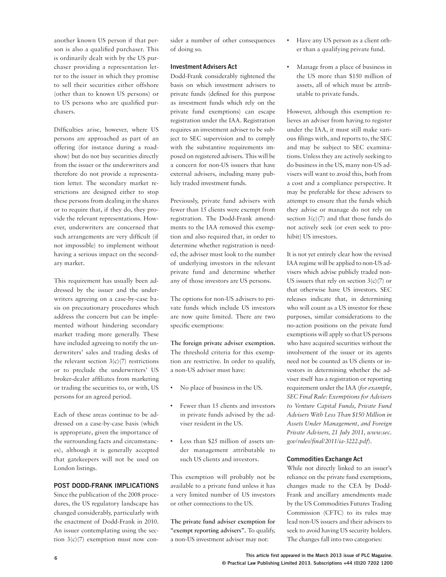another known US person if that person is also a qualified purchaser. This is ordinarily dealt with by the US purchaser providing a representation letter to the issuer in which they promise to sell their securities either offshore (other than to known US persons) or to US persons who are qualified purchasers.

Difficulties arise, however, where US persons are approached as part of an offering (for instance during a roadshow) but do not buy securities directly from the issuer or the underwriters and therefore do not provide a representation letter. The secondary market restrictions are designed either to stop these persons from dealing in the shares or to require that, if they do, they provide the relevant representations. However, underwriters are concerned that such arrangements are very difficult (if not impossible) to implement without having a serious impact on the secondary market.

This requirement has usually been addressed by the issuer and the underwriters agreeing on a case-by-case basis on precautionary procedures which address the concern but can be implemented without hindering secondary market trading more generally. These have included agreeing to notify the underwriters' sales and trading desks of the relevant section  $3(c)(7)$  restrictions or to preclude the underwriters' US broker-dealer affiliates from marketing or trading the securities to, or with, US persons for an agreed period.

Each of these areas continue to be addressed on a case-by-case basis (which is appropriate, given the importance of the surrounding facts and circumstances), although it is generally accepted that gatekeepers will not be used on London listings.

#### **POST DODD-FRANK IMPLICATIONS**

Since the publication of the 2008 procedures, the US regulatory landscape has changed considerably, particularly with the enactment of Dodd-Frank in 2010. An issuer contemplating using the section  $3(c)(7)$  exemption must now con-

sider a number of other consequences of doing so.

#### **Investment Advisers Act**

Dodd-Frank considerably tightened the basis on which investment advisers to private funds (defined for this purpose as investment funds which rely on the private fund exemptions) can escape registration under the IAA. Registration requires an investment adviser to be subject to SEC supervision and to comply with the substantive requirements imposed on registered advisers. This will be a concern for non-US issuers that have external advisers, including many publicly traded investment funds.

Previously, private fund advisers with fewer than 15 clients were exempt from registration. The Dodd-Frank amendments to the IAA removed this exemption and also required that, in order to determine whether registration is needed, the adviser must look to the number of underlying investors in the relevant private fund and determine whether any of those investors are US persons.

The options for non-US advisers to private funds which include US investors are now quite limited. There are two specific exemptions:

**The foreign private adviser exemption.** The threshold criteria for this exemption are restrictive. In order to qualify, a non-US adviser must have:

- No place of business in the US.
- Fewer than 15 clients and investors in private funds advised by the adviser resident in the US.
- Less than \$25 million of assets under management attributable to such US clients and investors.

This exemption will probably not be available to a private fund unless it has a very limited number of US investors or other connections to the US.

**The private fund adviser exemption for "exempt reporting advisers".** To qualify, a non-US investment adviser may not:

- Have any US person as a client other than a qualifying private fund.
- Manage from a place of business in the US more than \$150 million of assets, all of which must be attributable to private funds.

However, although this exemption relieves an adviser from having to register under the IAA, it must still make various filings with, and reports to, the SEC and may be subject to SEC examinations. Unless they are actively seeking to do business in the US, many non-US advisers will want to avoid this, both from a cost and a compliance perspective. It may be preferable for these advisers to attempt to ensure that the funds which they advise or manage do not rely on section  $3(c)(7)$  and that those funds do not actively seek (or even seek to prohibit) US investors.

It is not yet entirely clear how the revised IAA regime will be applied to non-US advisers which advise publicly traded non-US issuers that rely on section  $3(c)(7)$  or that otherwise have US investors. SEC releases indicate that, in determining who will count as a US investor for these purposes, similar considerations to the no-action positions on the private fund exemptions will apply so that US persons who have acquired securities without the involvement of the issuer or its agents need not be counted as US clients or investors in determining whether the adviser itself has a registration or reporting requirement under the IAA (*for example, SEC Final Rule: Exemptions for Advisers to Venture Capital Funds, Private Fund Advisers With Less Than \$150 Million in Assets Under Management, and Foreign Private Advisers, 21 July 2011, www.sec. gov/rules/À nal/2011/ia-3222.pdf*).

#### **Commodities Exchange Act**

While not directly linked to an issuer's reliance on the private fund exemptions, changes made to the CEA by Dodd-Frank and ancillary amendments made by the US Commodities Futures Trading Commission (CFTC) to its rules may lead non-US issuers and their advisers to seek to avoid having US security holders. The changes fall into two categories: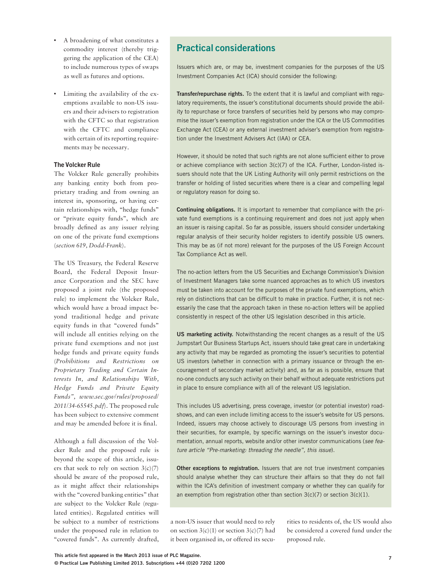- A broadening of what constitutes a commodity interest (thereby triggering the application of the CEA) to include numerous types of swaps as well as futures and options.
- Limiting the availability of the exemptions available to non-US issuers and their advisers to registration with the CFTC so that registration with the CFTC and compliance with certain of its reporting requirements may be necessary.

#### **The Volcker Rule**

The Volcker Rule generally prohibits any banking entity both from proprietary trading and from owning an interest in, sponsoring, or having certain relationships with, "hedge funds" or "private equity funds", which are broadly defined as any issuer relying on one of the private fund exemptions (*section 619, Dodd-Frank*).

The US Treasury, the Federal Reserve Board, the Federal Deposit Insurance Corporation and the SEC have proposed a joint rule (the proposed rule) to implement the Volcker Rule, which would have a broad impact beyond traditional hedge and private equity funds in that "covered funds" will include all entities relying on the private fund exemptions and not just hedge funds and private equity funds (*Prohibitions and Restrictions on Proprietary Trading and Certain Interests In, and Relationships With, Hedge Funds and Private Equity Funds", www.sec.gov/rules/proposed/ 2011/34-65545.pdf*). The proposed rule has been subject to extensive comment and may be amended before it is final.

Although a full discussion of the Volcker Rule and the proposed rule is beyond the scope of this article, issuers that seek to rely on section  $3(c)(7)$ should be aware of the proposed rule, as it might affect their relationships with the "covered banking entities" that are subject to the Volcker Rule (regulated entities). Regulated entities will be subject to a number of restrictions under the proposed rule in relation to "covered funds". As currently drafted,

# **Practical considerations**

Issuers which are, or may be, investment companies for the purposes of the US Investment Companies Act (ICA) should consider the following:

**Transfer/repurchase rights.** To the extent that it is lawful and compliant with regulatory requirements, the issuer's constitutional documents should provide the ability to repurchase or force transfers of securities held by persons who may compromise the issuer's exemption from registration under the ICA or the US Commodities Exchange Act (CEA) or any external investment adviser's exemption from registration under the Investment Advisers Act (IAA) or CEA.

However, it should be noted that such rights are not alone sufficient either to prove or achieve compliance with section 3(c)(7) of the ICA. Further, London-listed issuers should note that the UK Listing Authority will only permit restrictions on the transfer or holding of listed securities where there is a clear and compelling legal or regulatory reason for doing so.

**Continuing obligations.** It is important to remember that compliance with the private fund exemptions is a continuing requirement and does not just apply when an issuer is raising capital. So far as possible, issuers should consider undertaking regular analysis of their security holder registers to identify possible US owners. This may be as (if not more) relevant for the purposes of the US Foreign Account Tax Compliance Act as well.

The no-action letters from the US Securities and Exchange Commission's Division of Investment Managers take some nuanced approaches as to which US investors must be taken into account for the purposes of the private fund exemptions, which rely on distinctions that can be difficult to make in practice. Further, it is not necessarily the case that the approach taken in these no-action letters will be applied consistently in respect of the other US legislation described in this article.

**US marketing activity.** Notwithstanding the recent changes as a result of the US Jumpstart Our Business Startups Act, issuers should take great care in undertaking any activity that may be regarded as promoting the issuer's securities to potential US investors (whether in connection with a primary issuance or through the encouragement of secondary market activity) and, as far as is possible, ensure that no-one conducts any such activity on their behalf without adequate restrictions put in place to ensure compliance with all of the relevant US legislation.

This includes US advertising, press coverage, investor (or potential investor) roadshows, and can even include limiting access to the issuer's website for US persons. Indeed, issuers may choose actively to discourage US persons from investing in their securities, for example, by specific warnings on the issuer's investor documentation, annual reports, website and/or other investor communications (see feature article "Pre-marketing: threading the needle", this issue).

**Other exceptions to registration.** Issuers that are not true investment companies should analyse whether they can structure their affairs so that they do not fall within the ICA's definition of investment company or whether they can qualify for an exemption from registration other than section  $3(c)(7)$  or section  $3(c)(1)$ .

a non-US issuer that would need to rely on section  $3(c)(1)$  or section  $3(c)(7)$  had it been organised in, or offered its securities to residents of, the US would also be considered a covered fund under the proposed rule.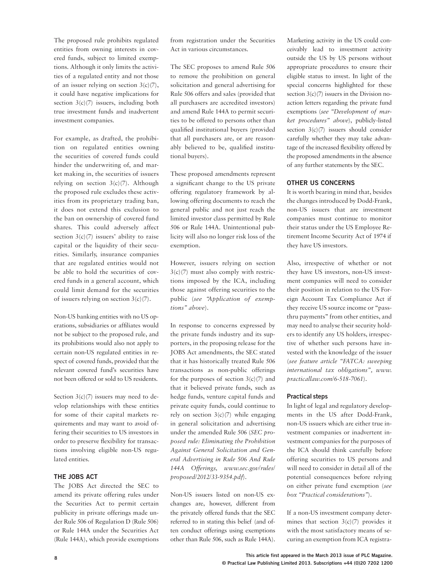The proposed rule prohibits regulated entities from owning interests in covered funds, subject to limited exemptions. Although it only limits the activities of a regulated entity and not those of an issuer relying on section  $3(c)(7)$ , it could have negative implications for section  $3(c)(7)$  issuers, including both true investment funds and inadvertent investment companies.

For example, as drafted, the prohibition on regulated entities owning the securities of covered funds could hinder the underwriting of, and market making in, the securities of issuers relying on section  $3(c)(7)$ . Although the proposed rule excludes these activities from its proprietary trading ban, it does not extend this exclusion to the ban on ownership of covered fund shares. This could adversely affect section  $3(c)(7)$  issuers' ability to raise capital or the liquidity of their securities. Similarly, insurance companies that are regulated entities would not be able to hold the securities of covered funds in a general account, which could limit demand for the securities of issuers relying on section  $3(c)(7)$ .

Non-US banking entities with no US operations, subsidiaries or affiliates would not be subject to the proposed rule, and its prohibitions would also not apply to certain non-US regulated entities in respect of covered funds, provided that the relevant covered fund's securities have not been offered or sold to US residents.

Section  $3(c)(7)$  issuers may need to develop relationships with these entities for some of their capital markets requirements and may want to avoid offering their securities to US investors in order to preserve flexibility for transactions involving eligible non-US regulated entities.

#### **THE JOBS ACT**

The JOBS Act directed the SEC to amend its private offering rules under the Securities Act to permit certain publicity in private offerings made under Rule 506 of Regulation D (Rule 506) or Rule 144A under the Securities Act (Rule 144A), which provide exemptions from registration under the Securities Act in various circumstances.

The SEC proposes to amend Rule 506 to remove the prohibition on general solicitation and general advertising for Rule 506 offers and sales (provided that all purchasers are accredited investors) and amend Rule 144A to permit securities to be offered to persons other than qualified institutional buyers (provided that all purchasers are, or are reasonably believed to be, qualified institutional buyers).

These proposed amendments represent a significant change to the US private offering regulatory framework by allowing offering documents to reach the general public and not just reach the limited investor class permitted by Rule 506 or Rule 144A. Unintentional publicity will also no longer risk loss of the exemption.

However, issuers relying on section  $3(c)(7)$  must also comply with restrictions imposed by the ICA, including those against offering securities to the public (*see "Application of exemptions" above*).

In response to concerns expressed by the private funds industry and its supporters, in the proposing release for the JOBS Act amendments, the SEC stated that it has historically treated Rule 506 transactions as non-public offerings for the purposes of section  $3(c)(7)$  and that it believed private funds, such as hedge funds, venture capital funds and private equity funds, could continue to rely on section  $3(c)(7)$  while engaging in general solicitation and advertising under the amended Rule 506 (*SEC proposed rule: Eliminating the Prohibition Against General Solicitation and General Advertising in Rule 506 And Rule 144A Offerings, www.sec.gov/rules/ proposed/2012/33-9354.pdf*).

Non-US issuers listed on non-US exchanges are, however, different from the privately offered funds that the SEC referred to in stating this belief (and often conduct offerings using exemptions other than Rule 506, such as Rule 144A).

Marketing activity in the US could conceivably lead to investment activity outside the US by US persons without appropriate procedures to ensure their eligible status to invest. In light of the special concerns highlighted for these section  $3(c)/7$ ) issuers in the Division noaction letters regarding the private fund exemptions (*see "Development of market procedures" above*), publicly-listed section  $3(c)(7)$  issuers should consider carefully whether they may take advantage of the increased flexibility offered by the proposed amendments in the absence of any further statements by the SEC.

#### **OTHER US CONCERNS**

It is worth bearing in mind that, besides the changes introduced by Dodd-Frank, non-US issuers that are investment companies must continue to monitor their status under the US Employee Retirement Income Security Act of 1974 if they have US investors.

Also, irrespective of whether or not they have US investors, non-US investment companies will need to consider their position in relation to the US Foreign Account Tax Compliance Act if they receive US source income or "passthru payments" from other entities, and may need to analyse their security holders to identify any US holders, irrespective of whether such persons have invested with the knowledge of the issuer (*see feature article "FATCA: sweeping international tax obligations", www. practicallaw.com/6-518-7061*).

#### **Practical steps**

In light of legal and regulatory developments in the US after Dodd-Frank, non-US issuers which are either true investment companies or inadvertent investment companies for the purposes of the ICA should think carefully before offering securities to US persons and will need to consider in detail all of the potential consequences before relying on either private fund exemption (*see box "Practical considerations"*).

If a non-US investment company determines that section  $3(c)(7)$  provides it with the most satisfactory means of securing an exemption from ICA registra-